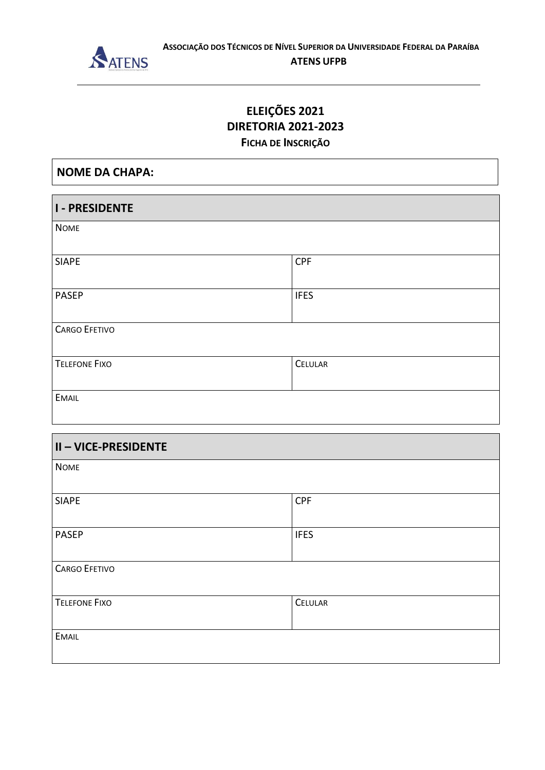

### **ATENS UFPB**

## ELEIÇÕES 2021 **DIRETORIA 2021-2023** FICHA DE INSCRIÇÃO

| <b>NOME DA CHAPA:</b> |             |  |
|-----------------------|-------------|--|
| <b>I-PRESIDENTE</b>   |             |  |
| <b>NOME</b>           |             |  |
| <b>SIAPE</b>          | <b>CPF</b>  |  |
| <b>PASEP</b>          | <b>IFES</b> |  |
| <b>CARGO EFETIVO</b>  |             |  |
| <b>TELEFONE FIXO</b>  | CELULAR     |  |
| <b>EMAIL</b>          |             |  |

| <b>II-VICE-PRESIDENTE</b> |             |
|---------------------------|-------------|
| <b>NOME</b>               |             |
| <b>SIAPE</b>              | <b>CPF</b>  |
| <b>PASEP</b>              | <b>IFES</b> |
| <b>CARGO EFETIVO</b>      |             |
| <b>TELEFONE FIXO</b>      | CELULAR     |
| <b>EMAIL</b>              |             |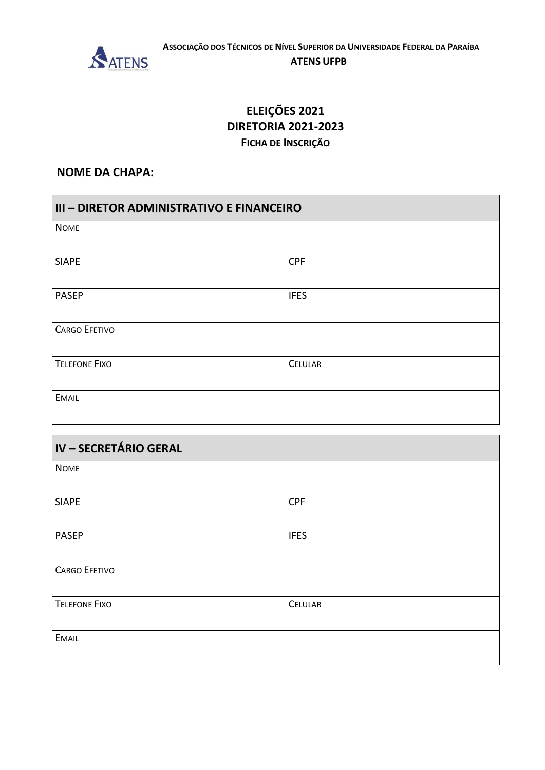

### **ATENS UFPB**

## ELEIÇÕES 2021 **DIRETORIA 2021-2023** FICHA DE INSCRIÇÃO

**NOME DA CHAPA:** 

| III - DIRETOR ADMINISTRATIVO E FINANCEIRO |             |  |
|-------------------------------------------|-------------|--|
| <b>NOME</b>                               |             |  |
|                                           |             |  |
| <b>SIAPE</b>                              | <b>CPF</b>  |  |
|                                           |             |  |
| <b>PASEP</b>                              | <b>IFES</b> |  |
|                                           |             |  |
| <b>CARGO EFETIVO</b>                      |             |  |
|                                           |             |  |
| <b>TELEFONE FIXO</b>                      | CELULAR     |  |
|                                           |             |  |
| <b>EMAIL</b>                              |             |  |
|                                           |             |  |

| IV - SECRETÁRIO GERAL |             |
|-----------------------|-------------|
| <b>NOME</b>           |             |
| <b>SIAPE</b>          | <b>CPF</b>  |
| <b>PASEP</b>          | <b>IFES</b> |
| <b>CARGO EFETIVO</b>  |             |
| <b>TELEFONE FIXO</b>  | CELULAR     |
| <b>EMAIL</b>          |             |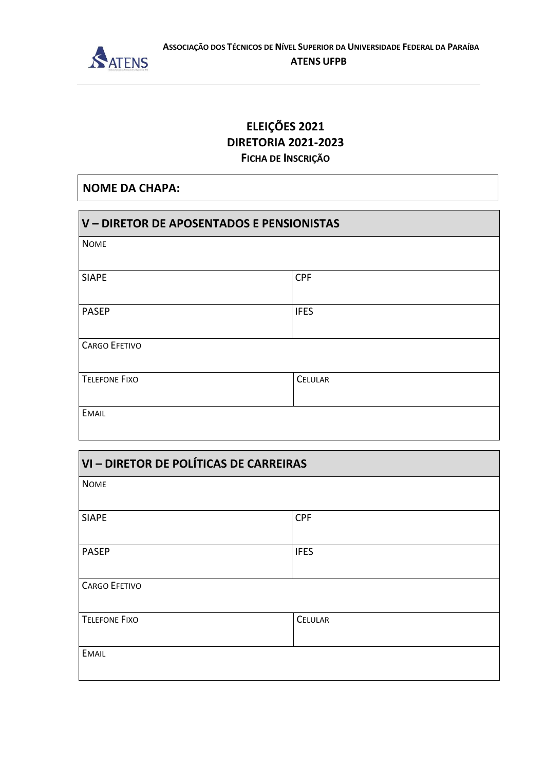

## ELEIÇÕES 2021 **DIRETORIA 2021-2023** FICHA DE INSCRIÇÃO

### **NOME DA CHAPA:**

| V - DIRETOR DE APOSENTADOS E PENSIONISTAS |             |
|-------------------------------------------|-------------|
| <b>NOME</b>                               |             |
| <b>SIAPE</b>                              | <b>CPF</b>  |
| <b>PASEP</b>                              | <b>IFES</b> |
| <b>CARGO EFETIVO</b>                      |             |
| <b>TELEFONE FIXO</b>                      | CELULAR     |
| <b>EMAIL</b>                              |             |

| VI - DIRETOR DE POLÍTICAS DE CARREIRAS |             |
|----------------------------------------|-------------|
| <b>NOME</b>                            |             |
| <b>SIAPE</b>                           | <b>CPF</b>  |
| <b>PASEP</b>                           | <b>IFES</b> |
|                                        |             |
| <b>CARGO EFETIVO</b>                   |             |
| <b>TELEFONE FIXO</b>                   | CELULAR     |
| <b>EMAIL</b>                           |             |